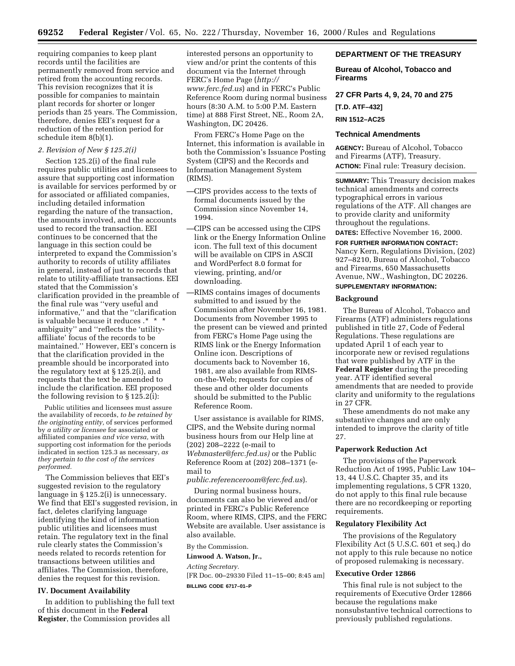requiring companies to keep plant records until the facilities are permanently removed from service and retired from the accounting records. This revision recognizes that it is possible for companies to maintain plant records for shorter or longer periods than 25 years. The Commission, therefore, denies EEI's request for a reduction of the retention period for schedule item 8(b)(1).

#### *2. Revision of New § 125.2(i)*

Section 125.2(i) of the final rule requires public utilities and licensees to assure that supporting cost information is available for services performed by or for associated or affiliated companies, including detailed information regarding the nature of the transaction, the amounts involved, and the accounts used to record the transaction. EEI continues to be concerned that the language in this section could be interpreted to expand the Commission's authority to records of utility affiliates in general, instead of just to records that relate to utility-affiliate transactions. EEI stated that the Commission's clarification provided in the preamble of the final rule was ''very useful and informative,'' and that the ''clarification is valuable because it reduces .\* \* \* ambiguity'' and ''reflects the 'utilityaffiliate' focus of the records to be maintained.'' However, EEI's concern is that the clarification provided in the preamble should be incorporated into the regulatory text at § 125.2(i), and requests that the text be amended to include the clarification. EEI proposed the following revision to § 125.2(i):

Public utilities and licensees must assure the availability of records, *to be retained by the originating entity,* of services performed by *a utility or licensee* for associated or affiliated companies *and vice versa,* with supporting cost information for the periods indicated in section 125.3 as necessary, *as they pertain to the cost of the services performed.*

The Commission believes that EEI's suggested revision to the regulatory language in § 125.2(i) is unnecessary. We find that EEI's suggested revision, in fact, deletes clarifying language identifying the kind of information public utilities and licensees must retain. The regulatory text in the final rule clearly states the Commission's needs related to records retention for transactions between utilities and affiliates. The Commission, therefore, denies the request for this revision.

## **IV. Document Availability**

In addition to publishing the full text of this document in the **Federal Register**, the Commission provides all

interested persons an opportunity to view and/or print the contents of this document via the Internet through FERC's Home Page (*http:// www.ferc.fed.us*) and in FERC's Public Reference Room during normal business hours (8:30 A.M. to 5:00 P.M. Eastern time) at 888 First Street, NE., Room 2A, Washington, DC 20426.

From FERC's Home Page on the Internet, this information is available in both the Commission's Issuance Posting System (CIPS) and the Records and Information Management System (RIMS).

- —CIPS provides access to the texts of formal documents issued by the Commission since November 14, 1994.
- —CIPS can be accessed using the CIPS link or the Energy Information Online icon. The full text of this document will be available on CIPS in ASCII and WordPerfect 8.0 format for viewing, printing, and/or downloading.
- —RIMS contains images of documents submitted to and issued by the Commission after November 16, 1981. Documents from November 1995 to the present can be viewed and printed from FERC's Home Page using the RIMS link or the Energy Information Online icon. Descriptions of documents back to November 16, 1981, are also available from RIMSon-the-Web; requests for copies of these and other older documents should be submitted to the Public Reference Room.

User assistance is available for RIMS, CIPS, and the Website during normal business hours from our Help line at (202) 208–2222 (e-mail to *Webmaster@ferc.fed.us)* or the Public Reference Room at (202) 208–1371 (email to

*public.referenceroom@ferc.fed.us*).

During normal business hours, documents can also be viewed and/or printed in FERC's Public Reference Room, where RIMS, CIPS, and the FERC Website are available. User assistance is also available.

By the Commission.

**Linwood A. Watson, Jr.,**

*Acting Secretary.* [FR Doc. 00–29330 Filed 11–15–00; 8:45 am] **BILLING CODE 6717–01–P**

### **DEPARTMENT OF THE TREASURY**

**Bureau of Alcohol, Tobacco and Firearms**

**27 CFR Parts 4, 9, 24, 70 and 275 [T.D. ATF–432] RIN 1512–AC25**

## **Technical Amendments**

**AGENCY:** Bureau of Alcohol, Tobacco and Firearms (ATF), Treasury. **ACTION:** Final rule: Treasury decision.

**SUMMARY:** This Treasury decision makes technical amendments and corrects typographical errors in various regulations of the ATF. All changes are to provide clarity and uniformity throughout the regulations.

**DATES:** Effective November 16, 2000.

**FOR FURTHER INFORMATION CONTACT:** Nancy Kern, Regulations Division, (202) 927–8210, Bureau of Alcohol, Tobacco and Firearms, 650 Massachusetts Avenue, NW., Washington, DC 20226.

# **SUPPLEMENTARY INFORMATION:**

## **Background**

The Bureau of Alcohol, Tobacco and Firearms (ATF) administers regulations published in title 27, Code of Federal Regulations. These regulations are updated April 1 of each year to incorporate new or revised regulations that were published by ATF in the **Federal Register** during the preceding year. ATF identified several amendments that are needed to provide clarity and uniformity to the regulations in 27 CFR.

These amendments do not make any substantive changes and are only intended to improve the clarity of title 27.

#### **Paperwork Reduction Act**

The provisions of the Paperwork Reduction Act of 1995, Public Law 104– 13, 44 U.S.C. Chapter 35, and its implementing regulations, 5 CFR 1320, do not apply to this final rule because there are no recordkeeping or reporting requirements.

### **Regulatory Flexibility Act**

The provisions of the Regulatory Flexibility Act (5 U.S.C. 601 et seq.) do not apply to this rule because no notice of proposed rulemaking is necessary.

#### **Executive Order 12866**

This final rule is not subject to the requirements of Executive Order 12866 because the regulations make nonsubstantive technical corrections to previously published regulations.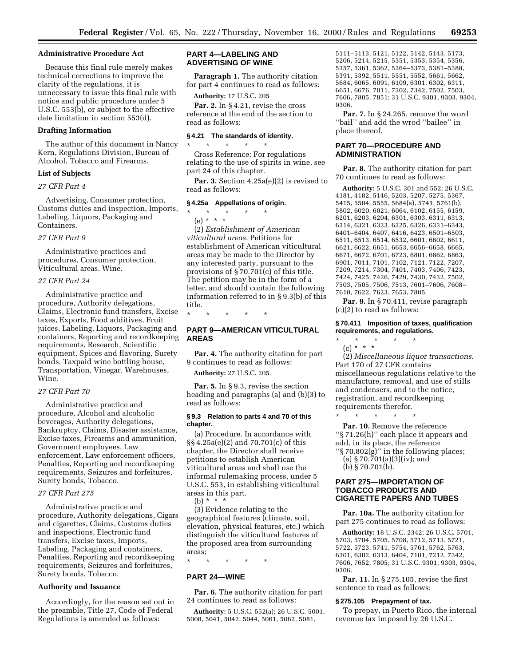#### **Administrative Procedure Act**

Because this final rule merely makes technical corrections to improve the clarity of the regulations, it is unnecessary to issue this final rule with notice and public procedure under 5 U.S.C. 553(b), or subject to the effective date limitation in section 553(d).

## **Drafting Information**

The author of this document in Nancy Kern, Regulations Division, Bureau of Alcohol, Tobacco and Firearms.

#### **List of Subjects**

#### *27 CFR Part 4*

Advertising, Consumer protection, Customs duties and inspection, Imports, Labeling, Liquors, Packaging and Containers.

## *27 CFR Part 9*

Administrative practices and procedures, Consumer protection, Viticultural areas. Wine.

## *27 CFR Part 24*

Administrative practice and procedure, Authority delegations, Claims, Electronic fund transfers, Excise taxes, Exports, Food additives, Fruit juices, Labeling, Liquors, Packaging and containers, Reporting and recordkeeping requirements, Research, Scientific equipment, Spices and flavoring, Surety bonds, Taxpaid wine bottling house, Transportation, Vinegar, Warehouses, Wine.

## *27 CFR Part 70*

Administrative practice and procedure, Alcohol and alcoholic beverages, Authority delegations, Bankruptcy, Claims, Disaster assistance, Excise taxes, Firearms and ammunition, Government employees, Law enforcement, Law enforcement officers, Penalties, Reporting and recordkeeping requirements, Seizures and forfeitures, Surety bonds, Tobacco.

### *27 CFR Part 275*

Administrative practice and procedure, Authority delegations, Cigars and cigarettes, Claims, Customs duties and inspections, Electronic fund transfers, Excise taxes, Imports, Labeling, Packaging and containers, Penalties, Reporting and recordkeeping requirements, Seizures and forfeitures, Surety bonds, Tobacco.

## **Authority and Issuance**

Accordingly, for the reason set out in the preamble, Title 27, Code of Federal Regulations is amended as follows:

## **PART 4—LABELING AND ADVERTISING OF WINE**

**Paragraph 1.** The authority citation for part 4 continues to read as follows:

**Authority:** 17 U.S.C. 205 Par. 2. In §4.21, revise the cross reference at the end of the section to read as follows:

## **§ 4.21 The standards of identity.** \* \* \* \* \*

Cross Reference: For regulations relating to the use of spirits in wine, see part 24 of this chapter.

Par. 3. Section 4.25a(e)(2) is revised to read as follows:

#### **§ 4.25a Appellations of origin.**

\* \* \* \* \* (e) \* \* \* (2) *Establishment of American viticultural areas.* Petitions for establishment of American viticultural

areas may be made to the Director by any interested party, pursuant to the provisions of § 70.701(c) of this title. The petition may be in the form of a letter, and should contain the following information referred to in § 9.3(b) of this title.

\* \* \* \* \*

## **PART 9—AMERICAN VITICULTURAL AREAS**

**Par. 4.** The authority citation for part 9 continues to read as follows:

**Authority:** 27 U.S.C. 205.

**Par. 5.** In § 9.3, revise the section heading and paragraphs (a) and (b)(3) to read as follows:

#### **§ 9.3 Relation to parts 4 and 70 of this chapter.**

(a) Procedure. In accordance with §§ 4.25a(e)(2) and 70.701(c) of this chapter, the Director shall receive petitions to establish American viticultural areas and shall use the informal rulemaking process, under 5 U.S.C. 553, in establishing viticultural areas in this part.

(b) \* \* \*

(3) Evidence relating to the geographical features (climate, soil, elevation, physical features, etc.) which distinguish the viticultural features of the proposed area from surrounding areas;

\* \* \* \* \*

## **PART 24—WINE**

**Par. 6.** The authority citation for part 24 continues to read as follows:

**Authority:** 5 U.S.C. 552(a); 26 U.S.C. 5001, 5008, 5041, 5042, 5044, 5061, 5062, 5081,

5111–5113, 5121, 5122, 5142, 5143, 5173, 5206, 5214, 5215, 5351, 5353, 5354, 5356, 5357, 5361, 5362, 5364–5373, 5381–5388, 5391, 5392, 5511, 5551, 5552, 5661, 5662, 5684, 6065, 6091, 6109, 6301, 6302, 6311, 6651, 6676, 7011, 7302, 7342, 7502, 7503, 7606, 7805, 7851; 31 U.S.C. 9301, 9303, 9304, 9306.

**Par. 7.** In § 24.265, remove the word ''bail'' and add the wrod ''bailee'' in place thereof.

## **PART 70—PROCEDURE AND ADMINISTRATION**

**Par. 8.** The authority citation for part 70 continues to read as follows:

**Authority:** 5 U.S.C. 301 and 552; 26 U.S.C. 4181, 4182, 5146, 5203, 5207, 5275, 5367, 5415, 5504, 5555, 5684(a), 5741, 5761(b), 5802, 6020, 6021, 6064, 6102, 6155, 6159, 6201, 6203, 6204, 6301, 6303, 6311, 6313, 6314, 6321, 6323, 6325, 6326, 6331–6343, 6401–6404, 6407, 6416, 6423, 6501–6503, 6511, 6513, 6514, 6532, 6601, 6602, 6611, 6621, 6622, 6651, 6653, 6656–6658, 6665, 6671, 6672, 6701, 6723, 6801, 6862, 6863, 6901, 7011, 7101, 7102, 7121, 7122, 7207, 7209, 7214, 7304, 7401, 7403, 7406, 7423, 7424, 7425, 7426, 7429, 7430, 7432, 7502, 7503, 7505, 7506, 7513, 7601–7606, 7608– 7610, 7622, 7623, 7653, 7805.

Par. 9. In § 70.411, revise paragraph (c)(2) to read as follows:

## **§ 70.411 Imposition of taxes, qualification requirements, and regulations.**

- \* \* \* \* \*
- $(c) * * * *$

(2) *Miscellaneous liquor transactions.* Part 170 of 27 CFR contains miscellaneous regulations relative to the manufacture, removal, and use of stills and condensers, and to the notice, registration, and recordkeeping requirements therefor.

\* \* \* \* \* Par. 10. Remove the reference ''§ 71.26(h)'' each place it appears and add, in its place, the reference

''§ 70.802(g)'' in the following places; (a)  $$70.701(a)(3)(iv);$  and (b) § 70.701(b).

## **PART 275—IMPORTATION OF TOBACCO PRODUCTS AND CIGARETTE PAPERS AND TUBES**

**Par. 10a.** The authority citation for part 275 continues to read as follows:

**Authority:** 18 U.S.C. 2342; 26 U.S.C. 5701, 5703, 5704, 5705, 5708, 5712, 5713, 5721, 5722, 5723, 5741, 5754, 5761, 5762, 5763, 6301, 6302, 6313, 6404, 7101, 7212, 7342, 7606, 7652, 7805; 31 U.S.C. 9301, 9303, 9304, 9306.

**Par. 11.** In § 275.105, revise the first sentence to read as follows:

#### **§ 275.105 Prepayment of tax.**

To prepay, in Puerto Rico, the internal revenue tax imposed by 26 U.S.C.